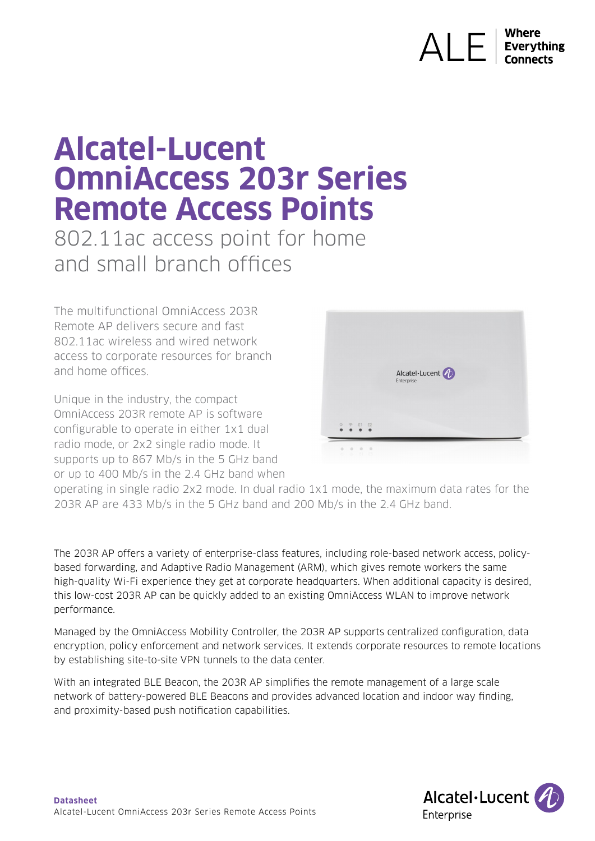# AI F **Everything**

# **Alcatel-Lucent OmniAccess 203r Series Remote Access Points**

802.11ac access point for home and small branch offices

The multifunctional OmniAccess 203R Remote AP delivers secure and fast 802.11ac wireless and wired network access to corporate resources for branch and home offices.

Unique in the industry, the compact OmniAccess 203R remote AP is software configurable to operate in either 1x1 dual radio mode, or 2x2 single radio mode. It supports up to 867 Mb/s in the 5 GHz band or up to 400 Mb/s in the 2.4 GHz band when



operating in single radio 2x2 mode. In dual radio 1x1 mode, the maximum data rates for the 203R AP are 433 Mb/s in the 5 GHz band and 200 Mb/s in the 2.4 GHz band.

The 203R AP offers a variety of enterprise-class features, including role-based network access, policybased forwarding, and Adaptive Radio Management (ARM), which gives remote workers the same high-quality Wi-Fi experience they get at corporate headquarters. When additional capacity is desired, this low-cost 203R AP can be quickly added to an existing OmniAccess WLAN to improve network performance.

Managed by the OmniAccess Mobility Controller, the 203R AP supports centralized configuration, data encryption, policy enforcement and network services. It extends corporate resources to remote locations by establishing site-to-site VPN tunnels to the data center.

With an integrated BLE Beacon, the 203R AP simplifies the remote management of a large scale network of battery-powered BLE Beacons and provides advanced location and indoor way finding, and proximity-based push notification capabilities.

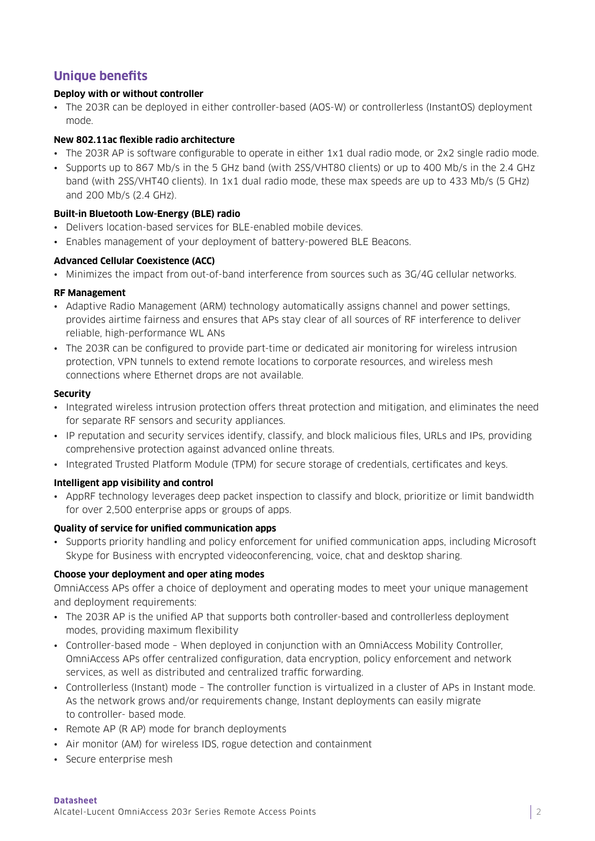## **Unique benefits**

#### **Deploy with or without controller**

• The 203R can be deployed in either controller-based (AOS-W) or controllerless (InstantOS) deployment mode.

#### **New 802.11ac flexible radio architecture**

- The 203R AP is software configurable to operate in either 1x1 dual radio mode, or 2x2 single radio mode.
- Supports up to 867 Mb/s in the 5 GHz band (with 2SS/VHT80 clients) or up to 400 Mb/s in the 2.4 GHz band (with 2SS/VHT40 clients). In 1x1 dual radio mode, these max speeds are up to 433 Mb/s (5 GHz) and 200 Mb/s (2.4 GHz).

#### **Built-in Bluetooth Low-Energy (BLE) radio**

- Delivers location-based services for BLE-enabled mobile devices.
- Enables management of your deployment of battery-powered BLE Beacons.

#### **Advanced Cellular Coexistence (ACC)**

• Minimizes the impact from out-of-band interference from sources such as 3G/4G cellular networks.

#### **RF Management**

- Adaptive Radio Management (ARM) technology automatically assigns channel and power settings, provides airtime fairness and ensures that APs stay clear of all sources of RF interference to deliver reliable, high-performance WL ANs
- The 203R can be configured to provide part-time or dedicated air monitoring for wireless intrusion protection, VPN tunnels to extend remote locations to corporate resources, and wireless mesh connections where Ethernet drops are not available.

#### **Security**

- Integrated wireless intrusion protection offers threat protection and mitigation, and eliminates the need for separate RF sensors and security appliances.
- IP reputation and security services identify, classify, and block malicious files, URLs and IPs, providing comprehensive protection against advanced online threats.
- Integrated Trusted Platform Module (TPM) for secure storage of credentials, certificates and keys.

#### **Intelligent app visibility and control**

• AppRF technology leverages deep packet inspection to classify and block, prioritize or limit bandwidth for over 2,500 enterprise apps or groups of apps.

#### **Quality of service for unified communication apps**

• Supports priority handling and policy enforcement for unified communication apps, including Microsoft Skype for Business with encrypted videoconferencing, voice, chat and desktop sharing.

#### **Choose your deployment and oper ating modes**

OmniAccess APs offer a choice of deployment and operating modes to meet your unique management and deployment requirements:

- The 203R AP is the unified AP that supports both controller-based and controllerless deployment modes, providing maximum flexibility
- Controller-based mode When deployed in conjunction with an OmniAccess Mobility Controller, OmniAccess APs offer centralized configuration, data encryption, policy enforcement and network services, as well as distributed and centralized traffic forwarding.
- Controllerless (Instant) mode The controller function is virtualized in a cluster of APs in Instant mode. As the network grows and/or requirements change, Instant deployments can easily migrate to controller- based mode.
- Remote AP (R AP) mode for branch deployments
- Air monitor (AM) for wireless IDS, rogue detection and containment
- Secure enterprise mesh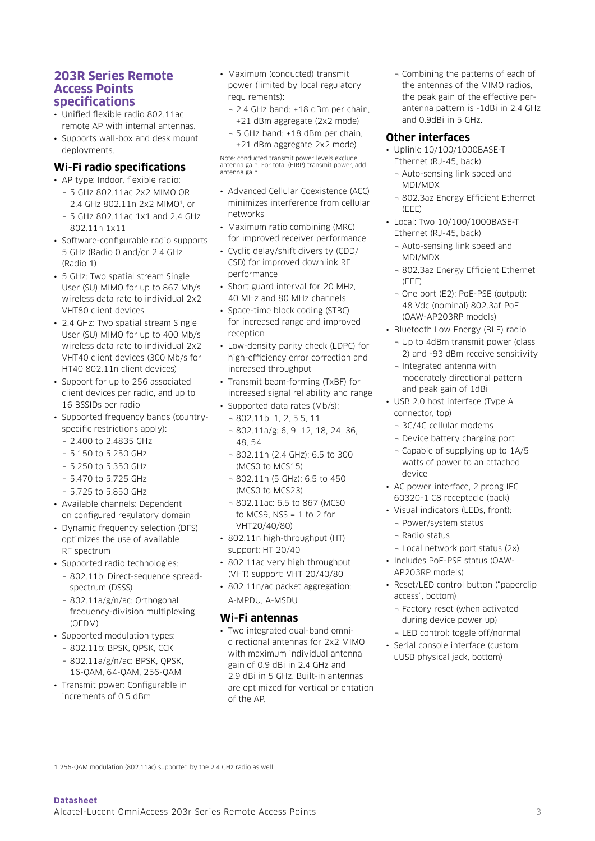#### **203R Series Remote Access Points specifications**

- Unified flexible radio 802.11ac remote AP with internal antennas.
- Supports wall-box and desk mount deployments.

#### **Wi-Fi radio specifications**

- AP type: Indoor, flexible radio:
	- ¬ 5 GHz 802.11ac 2x2 MIMO OR 2.4 GHz 802.11n 2x2 MIMO<sup>1</sup>, or
	- ¬ 5 GHz 802.11ac 1x1 and 2.4 GHz 802.11n 1x11
- Software-configurable radio supports 5 GHz (Radio 0 and/or 2.4 GHz (Radio 1)
- 5 GHz: Two spatial stream Single User (SU) MIMO for up to 867 Mb/s wireless data rate to individual 2x2 VHT80 client devices
- 2.4 GHz: Two spatial stream Single User (SU) MIMO for up to 400 Mb/s wireless data rate to individual 2x2 VHT40 client devices (300 Mb/s for HT40 802.11n client devices)
- Support for up to 256 associated client devices per radio, and up to 16 BSSIDs per radio
- Supported frequency bands (countryspecific restrictions apply):
	- ¬ 2.400 to 2.4835 GHz
	- ¬ 5.150 to 5.250 GHz
	- ¬ 5.250 to 5.350 GHz
	- ¬ 5.470 to 5.725 GHz
	- ¬ 5.725 to 5.850 GHz
- Available channels: Dependent on configured regulatory domain
- Dynamic frequency selection (DFS) optimizes the use of available RF spectrum
- Supported radio technologies:
	- ¬ 802.11b: Direct-sequence spreadspectrum (DSSS)
	- ¬ 802.11a/g/n/ac: Orthogonal frequency-division multiplexing (OFDM)
- Supported modulation types:
	- ¬ 802.11b: BPSK, QPSK, CCK
	- ¬ 802.11a/g/n/ac: BPSK, QPSK, 16-QAM, 64-QAM, 256-QAM
- Transmit power: Configurable in increments of 0.5 dBm
- Maximum (conducted) transmit power (limited by local regulatory requirements):
	- ¬ 2.4 GHz band: +18 dBm per chain, +21 dBm aggregate (2x2 mode)
	- ¬ 5 GHz band: +18 dBm per chain, +21 dBm aggregate 2x2 mode)

Note: conducted transmit power levels exclude antenna gain. For total (EIRP) transmit power, add antenna gain

- Advanced Cellular Coexistence (ACC) minimizes interference from cellular networks
- Maximum ratio combining (MRC) for improved receiver performance
- Cyclic delay/shift diversity (CDD/ CSD) for improved downlink RF performance
- Short guard interval for 20 MHz, 40 MHz and 80 MHz channels
- Space-time block coding (STBC) for increased range and improved reception
- Low-density parity check (LDPC) for high-efficiency error correction and increased throughput
- Transmit beam-forming (TxBF) for increased signal reliability and range
- Supported data rates (Mb/s):
- ¬ 802.11b: 1, 2, 5.5, 11
- ¬ 802.11a/g: 6, 9, 12, 18, 24, 36, 48, 54
- ¬ 802.11n (2.4 GHz): 6.5 to 300 (MCS0 to MCS15)
- ¬ 802.11n (5 GHz): 6.5 to 450 (MCS0 to MCS23)
- ¬ 802.11ac: 6.5 to 867 (MCS0 to MCS9,  $NSS = 1$  to 2 for VHT20/40/80)
- 802.11n high-throughput (HT) support: HT 20/40
- 802.11ac very high throughput (VHT) support: VHT 20/40/80
- 802.11n/ac packet aggregation: A-MPDU, A-MSDU

#### **Wi-Fi antennas**

• Two integrated dual-band omnidirectional antennas for 2x2 MIMO with maximum individual antenna gain of 0.9 dBi in 2.4 GHz and 2.9 dBi in 5 GHz. Built-in antennas are optimized for vertical orientation of the AP.

¬ Combining the patterns of each of the antennas of the MIMO radios, the peak gain of the effective perantenna pattern is -1dBi in 2.4 GHz and 0.9dBi in 5 GHz.

#### **Other interfaces**

- Uplink: 10/100/1000BASE-T Ethernet (RJ-45, back)
	- ¬ Auto-sensing link speed and MDI/MDX
	- ¬ 802.3az Energy Efficient Ethernet (EEE)
- Local: Two 10/100/1000BASE-T Ethernet (RJ-45, back)
	- ¬ Auto-sensing link speed and MDI/MDX
	- ¬ 802.3az Energy Efficient Ethernet (EEE)
	- ¬ One port (E2): PoE-PSE (output): 48 Vdc (nominal) 802.3af PoE (OAW-AP203RP models)
- Bluetooth Low Energy (BLE) radio
	- ¬ Up to 4dBm transmit power (class 2) and -93 dBm receive sensitivity
	- ¬ Integrated antenna with moderately directional pattern and peak gain of 1dBi
- USB 2.0 host interface (Type A connector, top)
	- ¬ 3G/4G cellular modems
	- ¬ Device battery charging port
	- ¬ Capable of supplying up to 1A/5 watts of power to an attached device
- AC power interface, 2 prong IEC 60320-1 C8 receptacle (back)
- Visual indicators (LEDs, front):
	- ¬ Power/system status
	- ¬ Radio status
	- ¬ Local network port status (2x)
- Includes PoE-PSE status (OAW-AP203RP models)
- Reset/LED control button ("paperclip access", bottom)
	- ¬ Factory reset (when activated during device power up)
	- ¬ LED control: toggle off/normal
- Serial console interface (custom, uUSB physical jack, bottom)

1 256-QAM modulation (802.11ac) supported by the 2.4 GHz radio as well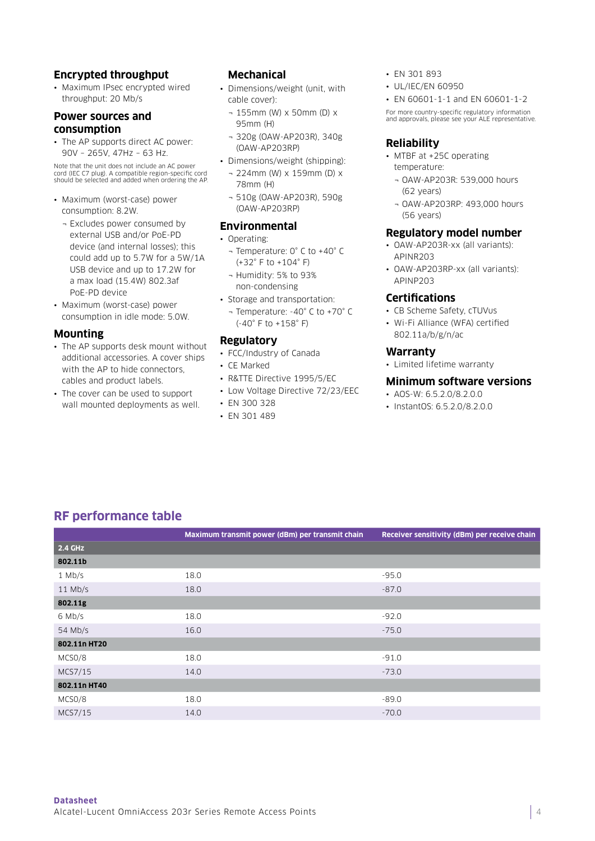#### **Encrypted throughput**

• Maximum IPsec encrypted wired throughput: 20 Mb/s

#### **Power sources and consumption**

• The AP supports direct AC power: 90V – 265V, 47Hz – 63 Hz.

Note that the unit does not include an AC power cord (IEC C7 plug). A compatible region-specific cord should be selected and added when ordering the AP.

- Maximum (worst-case) power consumption: 8.2W.
	- ¬ Excludes power consumed by external USB and/or PoE-PD device (and internal losses); this could add up to 5.7W for a 5W/1A USB device and up to 17.2W for a max load (15.4W) 802.3af PoE-PD device
- Maximum (worst-case) power consumption in idle mode: 5.0W.

#### **Mounting**

- The AP supports desk mount without additional accessories. A cover ships with the AP to hide connectors. cables and product labels.
- The cover can be used to support wall mounted deployments as well.

#### **Mechanical**

- Dimensions/weight (unit, with cable cover):
	- ¬ 155mm (W) x 50mm (D) x 95mm (H)
	- ¬ 320g (OAW-AP203R), 340g (OAW-AP203RP)
- Dimensions/weight (shipping):
	- ¬ 224mm (W) x 159mm (D) x 78mm (H)
	- ¬ 510g (OAW-AP203R), 590g (OAW-AP203RP)

#### **Environmental**

- Operating:
	- ¬ Temperature: 0° C to +40° C (+32° F to +104° F)
	- ¬ Humidity: 5% to 93% non-condensing
- Storage and transportation:
- ¬ Temperature: -40° C to +70° C (-40° F to +158° F)

#### **Regulatory**

- FCC/Industry of Canada
- CE Marked
- R&TTE Directive 1995/5/EC
- Low Voltage Directive 72/23/EEC
- EN 300 328
- EN 301 489
- EN 301 893
- UL/IEC/EN 60950
- EN 60601-1-1 and EN 60601-1-2

For more country-specific regulatory information and approvals, please see your ALE representative.

#### **Reliability**

- MTBF at +25C operating temperature:
	- ¬ OAW-AP203R: 539,000 hours (62 years)
	- ¬ OAW-AP203RP: 493,000 hours (56 years)

#### **Regulatory model number**

- OAW-AP203R-xx (all variants): APINR203
- OAW-AP203RP-xx (all variants): APINP203

#### **Certifications**

- CB Scheme Safety, cTUVus
- Wi-Fi Alliance (WFA) certified 802.11a/b/g/n/ac

#### **Warranty**

• Limited lifetime warranty

#### **Minimum software versions**

- AOS-W: 6.5.2.0/8.2.0.0
- InstantOS: 6.5.2.0/8.2.0.0

## **RF performance table**

|              | Maximum transmit power (dBm) per transmit chain | Receiver sensitivity (dBm) per receive chain |
|--------------|-------------------------------------------------|----------------------------------------------|
| 2.4 GHz      |                                                 |                                              |
| 802.11b      |                                                 |                                              |
| $1$ Mb/s     | 18.0                                            | $-95.0$                                      |
| $11$ Mb/s    | 18.0                                            | $-87.0$                                      |
| 802.11g      |                                                 |                                              |
| 6 Mb/s       | 18.0                                            | $-92.0$                                      |
| 54 Mb/s      | 16.0                                            | $-75.0$                                      |
| 802.11n HT20 |                                                 |                                              |
| MCSO/8       | 18.0                                            | $-91.0$                                      |
| MCS7/15      | 14.0                                            | $-73.0$                                      |
| 802.11n HT40 |                                                 |                                              |
| MCSO/8       | 18.0                                            | $-89.0$                                      |
| MCS7/15      | 14.0                                            | $-70.0$                                      |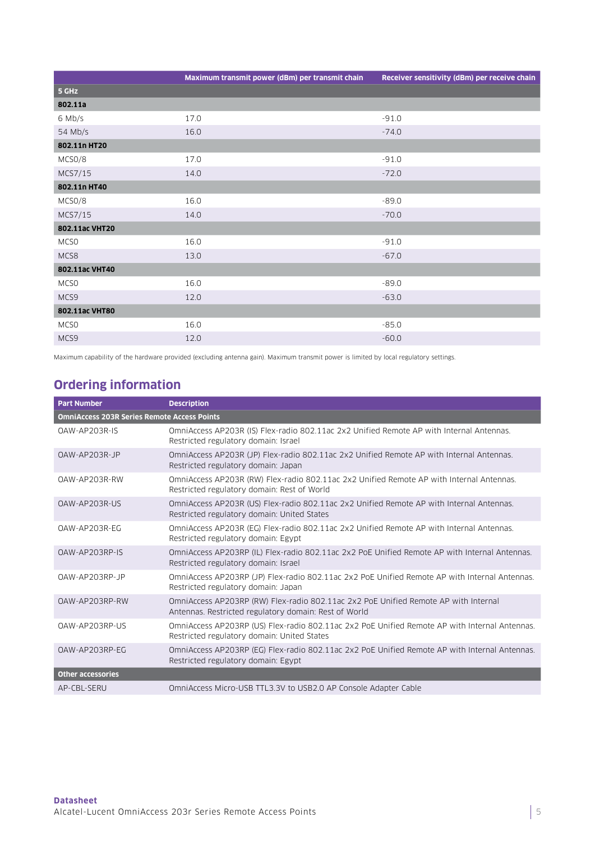| Maximum transmit power (dBm) per transmit chain | Receiver sensitivity (dBm) per receive chain |
|-------------------------------------------------|----------------------------------------------|
|                                                 |                                              |
|                                                 |                                              |
| 17.0                                            | $-91.0$                                      |
| 16.0                                            | $-74.0$                                      |
|                                                 |                                              |
| 17.0                                            | $-91.0$                                      |
| 14.0                                            | $-72.0$                                      |
|                                                 |                                              |
| 16.0                                            | $-89.0$                                      |
| 14.0                                            | $-70.0$                                      |
|                                                 |                                              |
| 16.0                                            | $-91.0$                                      |
| 13.0                                            | $-67.0$                                      |
|                                                 |                                              |
| 16.0                                            | $-89.0$                                      |
| 12.0                                            | $-63.0$                                      |
|                                                 |                                              |
| 16.0                                            | $-85.0$                                      |
| 12.0                                            | $-60.0$                                      |
|                                                 |                                              |

Maximum capability of the hardware provided (excluding antenna gain). Maximum transmit power is limited by local regulatory settings.

# **Ordering information**

| <b>Part Number</b>                                 | <b>Description</b>                                                                                                                           |  |
|----------------------------------------------------|----------------------------------------------------------------------------------------------------------------------------------------------|--|
| <b>OmniAccess 203R Series Remote Access Points</b> |                                                                                                                                              |  |
| OAW-AP203R-IS                                      | OmniAccess AP203R (IS) Flex-radio 802.11ac 2x2 Unified Remote AP with Internal Antennas.<br>Restricted regulatory domain: Israel             |  |
| OAW-AP203R-JP                                      | OmniAccess AP203R (JP) Flex-radio 802.11ac 2x2 Unified Remote AP with Internal Antennas.<br>Restricted regulatory domain: Japan              |  |
| OAW-AP203R-RW                                      | OmniAccess AP203R (RW) Flex-radio 802.11ac 2x2 Unified Remote AP with Internal Antennas.<br>Restricted regulatory domain: Rest of World      |  |
| OAW-AP203R-US                                      | OmniAccess AP203R (US) Flex-radio 802.11ac 2x2 Unified Remote AP with Internal Antennas.<br>Restricted regulatory domain: United States      |  |
| OAW-AP203R-EG                                      | OmniAccess AP203R (EG) Flex-radio 802.11ac 2x2 Unified Remote AP with Internal Antennas.<br>Restricted regulatory domain: Egypt              |  |
| OAW-AP203RP-IS                                     | OmniAccess AP203RP (IL) Flex-radio 802.11ac 2x2 PoE Unified Remote AP with Internal Antennas.<br>Restricted regulatory domain: Israel        |  |
| OAW-AP203RP-JP                                     | OmniAccess AP203RP (JP) Flex-radio 802.11ac 2x2 PoE Unified Remote AP with Internal Antennas.<br>Restricted regulatory domain: Japan         |  |
| OAW-AP203RP-RW                                     | OmniAccess AP203RP (RW) Flex-radio 802.11ac 2x2 PoE Unified Remote AP with Internal<br>Antennas. Restricted regulatory domain: Rest of World |  |
| OAW-AP203RP-US                                     | OmniAccess AP203RP (US) Flex-radio 802.11ac 2x2 PoE Unified Remote AP with Internal Antennas.<br>Restricted regulatory domain: United States |  |
| OAW-AP203RP-EG                                     | OmniAccess AP203RP (EG) Flex-radio 802.11ac 2x2 PoE Unified Remote AP with Internal Antennas.<br>Restricted regulatory domain: Egypt         |  |
| <b>Other accessories</b>                           |                                                                                                                                              |  |
| AP-CBL-SERU                                        | OmniAccess Micro-USB TTL3.3V to USB2.0 AP Console Adapter Cable                                                                              |  |